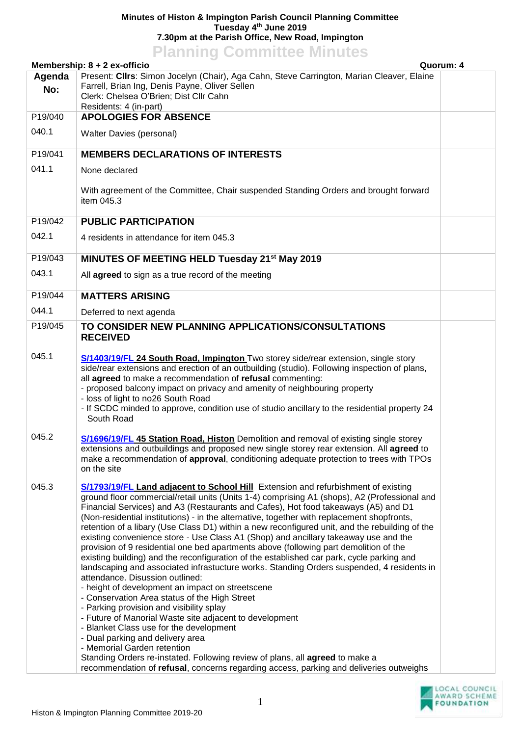## **Minutes of Histon & Impington Parish Council Planning Committee Tuesday 4 th June 2019 7.30pm at the Parish Office, New Road, Impington Planning Committee Minutes**

| <u><b>I IGHTHING COMMITTEE MITTALES</b></u><br>Quorum: 4<br>Membership: $8 + 2$ ex-officio |                                                                                                                                                                                                                                                                                                                                                                                                                                                                                                                                                                                                                                                                                                                                                                                                                                                                                                                                                                                                                                                                                                                                                                                                                                                                                                |  |  |
|--------------------------------------------------------------------------------------------|------------------------------------------------------------------------------------------------------------------------------------------------------------------------------------------------------------------------------------------------------------------------------------------------------------------------------------------------------------------------------------------------------------------------------------------------------------------------------------------------------------------------------------------------------------------------------------------------------------------------------------------------------------------------------------------------------------------------------------------------------------------------------------------------------------------------------------------------------------------------------------------------------------------------------------------------------------------------------------------------------------------------------------------------------------------------------------------------------------------------------------------------------------------------------------------------------------------------------------------------------------------------------------------------|--|--|
| Agenda                                                                                     | Present: Cllrs: Simon Jocelyn (Chair), Aga Cahn, Steve Carrington, Marian Cleaver, Elaine                                                                                                                                                                                                                                                                                                                                                                                                                                                                                                                                                                                                                                                                                                                                                                                                                                                                                                                                                                                                                                                                                                                                                                                                      |  |  |
| No:                                                                                        | Farrell, Brian Ing, Denis Payne, Oliver Sellen<br>Clerk: Chelsea O'Brien; Dist Cllr Cahn                                                                                                                                                                                                                                                                                                                                                                                                                                                                                                                                                                                                                                                                                                                                                                                                                                                                                                                                                                                                                                                                                                                                                                                                       |  |  |
| P19/040                                                                                    | Residents: 4 (in-part)<br><b>APOLOGIES FOR ABSENCE</b>                                                                                                                                                                                                                                                                                                                                                                                                                                                                                                                                                                                                                                                                                                                                                                                                                                                                                                                                                                                                                                                                                                                                                                                                                                         |  |  |
| 040.1                                                                                      | <b>Walter Davies (personal)</b>                                                                                                                                                                                                                                                                                                                                                                                                                                                                                                                                                                                                                                                                                                                                                                                                                                                                                                                                                                                                                                                                                                                                                                                                                                                                |  |  |
|                                                                                            |                                                                                                                                                                                                                                                                                                                                                                                                                                                                                                                                                                                                                                                                                                                                                                                                                                                                                                                                                                                                                                                                                                                                                                                                                                                                                                |  |  |
| P19/041                                                                                    | <b>MEMBERS DECLARATIONS OF INTERESTS</b>                                                                                                                                                                                                                                                                                                                                                                                                                                                                                                                                                                                                                                                                                                                                                                                                                                                                                                                                                                                                                                                                                                                                                                                                                                                       |  |  |
| 041.1                                                                                      | None declared                                                                                                                                                                                                                                                                                                                                                                                                                                                                                                                                                                                                                                                                                                                                                                                                                                                                                                                                                                                                                                                                                                                                                                                                                                                                                  |  |  |
|                                                                                            | With agreement of the Committee, Chair suspended Standing Orders and brought forward<br>item 045.3                                                                                                                                                                                                                                                                                                                                                                                                                                                                                                                                                                                                                                                                                                                                                                                                                                                                                                                                                                                                                                                                                                                                                                                             |  |  |
| P19/042                                                                                    | <b>PUBLIC PARTICIPATION</b>                                                                                                                                                                                                                                                                                                                                                                                                                                                                                                                                                                                                                                                                                                                                                                                                                                                                                                                                                                                                                                                                                                                                                                                                                                                                    |  |  |
| 042.1                                                                                      | 4 residents in attendance for item 045.3                                                                                                                                                                                                                                                                                                                                                                                                                                                                                                                                                                                                                                                                                                                                                                                                                                                                                                                                                                                                                                                                                                                                                                                                                                                       |  |  |
| P19/043                                                                                    | MINUTES OF MEETING HELD Tuesday 21 <sup>st</sup> May 2019                                                                                                                                                                                                                                                                                                                                                                                                                                                                                                                                                                                                                                                                                                                                                                                                                                                                                                                                                                                                                                                                                                                                                                                                                                      |  |  |
| 043.1                                                                                      | All agreed to sign as a true record of the meeting                                                                                                                                                                                                                                                                                                                                                                                                                                                                                                                                                                                                                                                                                                                                                                                                                                                                                                                                                                                                                                                                                                                                                                                                                                             |  |  |
| P19/044                                                                                    | <b>MATTERS ARISING</b>                                                                                                                                                                                                                                                                                                                                                                                                                                                                                                                                                                                                                                                                                                                                                                                                                                                                                                                                                                                                                                                                                                                                                                                                                                                                         |  |  |
| 044.1                                                                                      | Deferred to next agenda                                                                                                                                                                                                                                                                                                                                                                                                                                                                                                                                                                                                                                                                                                                                                                                                                                                                                                                                                                                                                                                                                                                                                                                                                                                                        |  |  |
| P19/045                                                                                    | TO CONSIDER NEW PLANNING APPLICATIONS/CONSULTATIONS<br><b>RECEIVED</b>                                                                                                                                                                                                                                                                                                                                                                                                                                                                                                                                                                                                                                                                                                                                                                                                                                                                                                                                                                                                                                                                                                                                                                                                                         |  |  |
| 045.1                                                                                      | S/1403/19/FL 24 South Road, Impington Two storey side/rear extension, single story<br>side/rear extensions and erection of an outbuilding (studio). Following inspection of plans,<br>all agreed to make a recommendation of refusal commenting:<br>- proposed balcony impact on privacy and amenity of neighbouring property<br>- loss of light to no26 South Road<br>- If SCDC minded to approve, condition use of studio ancillary to the residential property 24<br>South Road                                                                                                                                                                                                                                                                                                                                                                                                                                                                                                                                                                                                                                                                                                                                                                                                             |  |  |
| 045.2                                                                                      | S/1696/19/FL 45 Station Road, Histon Demolition and removal of existing single storey<br>extensions and outbuildings and proposed new single storey rear extension. All agreed to<br>make a recommendation of approval, conditioning adequate protection to trees with TPOs<br>on the site                                                                                                                                                                                                                                                                                                                                                                                                                                                                                                                                                                                                                                                                                                                                                                                                                                                                                                                                                                                                     |  |  |
| 045.3                                                                                      | S/1793/19/FL Land adjacent to School Hill Extension and refurbishment of existing<br>ground floor commercial/retail units (Units 1-4) comprising A1 (shops), A2 (Professional and<br>Financial Services) and A3 (Restaurants and Cafes), Hot food takeaways (A5) and D1<br>(Non-residential institutions) - in the alternative, together with replacement shopfronts,<br>retention of a libary (Use Class D1) within a new reconfigured unit, and the rebuilding of the<br>existing convenience store - Use Class A1 (Shop) and ancillary takeaway use and the<br>provision of 9 residential one bed apartments above (following part demolition of the<br>existing building) and the reconfiguration of the established car park, cycle parking and<br>landscaping and associated infrastucture works. Standing Orders suspended, 4 residents in<br>attendance. Disussion outlined:<br>- height of development an impact on streetscene<br>- Conservation Area status of the High Street<br>- Parking provision and visibility splay<br>- Future of Manorial Waste site adjacent to development<br>- Blanket Class use for the development<br>- Dual parking and delivery area<br>- Memorial Garden retention<br>Standing Orders re-instated. Following review of plans, all agreed to make a |  |  |
|                                                                                            | recommendation of refusal, concerns regarding access, parking and deliveries outweighs                                                                                                                                                                                                                                                                                                                                                                                                                                                                                                                                                                                                                                                                                                                                                                                                                                                                                                                                                                                                                                                                                                                                                                                                         |  |  |